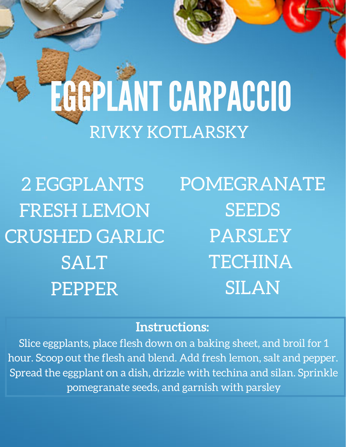# EGGPLANT CARPACCIO RIVKY KOTLARSKY

2 EGGPLANTS FRESH LEMON CRUSHED GARLIC SALT PEPPER

POMEGRANATE **SEEDS** PARSLEY **TECHINA** SILAN

#### **Instructions:**

Slice eggplants, place flesh down on a baking sheet, and broil for 1 hour. Scoop out the flesh and blend. Add fresh lemon, salt and pepper. Spread the eggplant on a dish, drizzle with techina and silan. Sprinkle pomegranate seeds, and garnish with parsley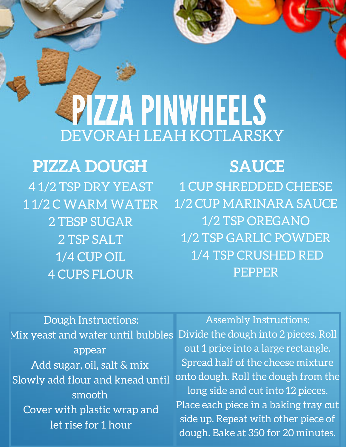### PIZZAPINWHEELS DEVORAH LEAH KOTLARSKY

**PIZZA DOUGH** 4 1/2 TSP DRY YEAST 1 1/2 C WARM WATER 2 TBSP SUGAR 2 TSP SALT 1/4 CUP OIL 4 CUPS FLOUR

### **SAUCE**

1 CUP SHREDDED CHEESE 1/2 CUP MARINARA SAUCE 1/2 TSP OREGANO 1/2 TSP GARLIC POWDER 1/4 TSP CRUSHED RED PEPPER

Dough Instructions: Mix yeast and water until bubbles Divide the dough into 2 pieces. Roll appear Add sugar, oil, salt & mix Slowly add flour and knead until smooth Cover with plastic wrap and let rise for 1 hour Assembly Instructions: out 1 price into a large rectangle. Spread half of the cheese mixture onto dough. Roll the dough from the long side and cut into 12 pieces. Place each piece in a baking tray cut side up. Repeat with other piece of dough. Bake at 350 for 20 minutes.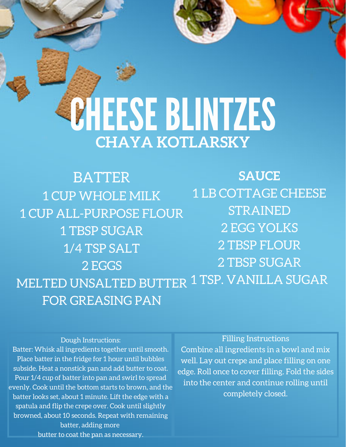### CHEESEBLINTZES **CHAYA KOTLARSKY**

BATTER 1 CUP WHOLE MILK 1 CUP ALL-PURPOSE FLOUR 1 TBSP SUGAR 1/4 TSP SALT 2 EGGS MELTED UNSALTED BUTTER FOR GREASING PAN

**SAUCE** 1 LB COTTAGE CHEESE STRAINED 2 EGG YOLKS 2 TBSP FLOUR 2 TBSP SUGAR 1 TSP. VANILLA SUGAR

#### Dough Instructions:

Batter: Whisk all ingredients together until smooth. Place batter in the fridge for 1 hour until bubbles subside. Heat a nonstick pan and add butter to coat. Pour 1/4 cup of batter into pan and swirl to spread evenly. Cook until the bottom starts to brown, and the batter looks set, about 1 minute. Lift the edge with a spatula and flip the crepe over. Cook until slightly browned, about 10 seconds. Repeat with remaining batter, adding more butter to coat the pan as necessary.

Filling Instructions Combine all ingredients in a bowl and mix well. Lay out crepe and place filling on one edge. Roll once to cover filling. Fold the sides into the center and continue rolling until completely closed.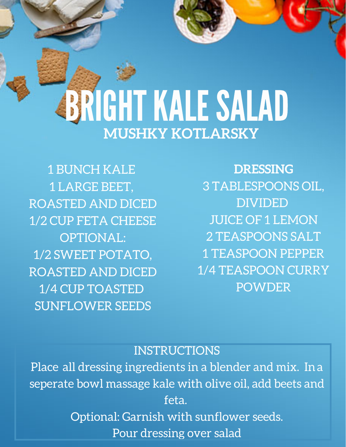### **BRIGHT KALE SALAD MUSHKY KOTLARSKY**

1 BUNCH KALE 1 LARGE BEET, ROASTED AND DICED 1/2 CUP FETA CHEESE OPTIONAL: 1/2 SWEET POTATO, ROASTED AND DICED 1/4 CUP TOASTED SUNFLOWER SEEDS

**DRESSING** 3 TABLESPOONS OIL, DIVIDED JUICE OF 1 LEMON 2 TEASPOONS SALT 1 TEASPOON PEPPER 1/4 TEASPOON CURRY POWDER

#### INSTRUCTIONS

Place all dressing ingredients in a blender and mix. Ina seperate bowl massage kale with olive oil, add beets and feta. Optional: Garnish with sunflower seeds. Pour dressing over salad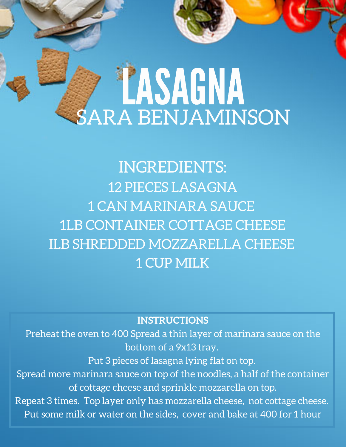## LASAGNA SARA BENJAMINSON

INGREDIENTS: 12 PIECES LASAGNA 1 CAN MARINARA SAUCE 1LB CONTAINER COTTAGE CHEESE ILB SHREDDED MOZZARELLA CHEESE 1 CUP MILK

#### **INSTRUCTIONS**

Preheat the oven to 400 Spread a thin layer of marinara sauce on the bottom of a 9x13 tray. Put 3 pieces of lasagna lying flat on top. Spread more marinara sauce on top of the noodles, a half of the container of cottage cheese and sprinkle mozzarella on top. Repeat 3 times. Top layer only has mozzarella cheese, not cottage cheese. Put some milk or water on the sides, cover and bake at 400 for 1 hour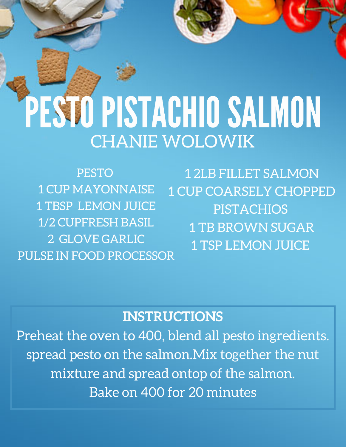### PESTO PISTACHIO SALMON CHANIE WOLOWIK

#### PESTO

1 CUP MAYONNAISE 1 TBSP LEMON JUICE 1/2 CUPFRESH BASIL 2 GLOVE GARLIC PULSE IN FOOD PROCESSOR

 2LB FILLET SALMON CUP COARSELY CHOPPED PISTACHIOS TB BROWN SUGAR TSP LEMON JUICE

#### **INSTRUCTIONS**

Preheat the oven to 400, blend all pesto ingredients. spread pesto on the salmon.Mix together the nut mixture and spread ontop of the salmon. Bake on 400 for 20 minutes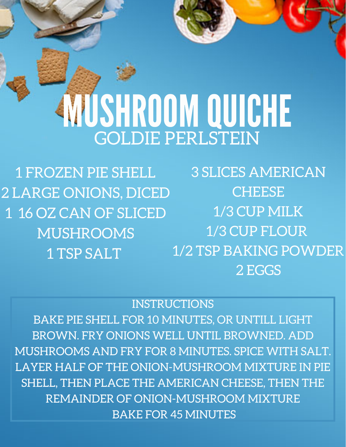### MUSHROOM QUICHE GOLDIE PERLSTEIN

1 FROZEN PIE SHELL 2 LARGE ONIONS, DICED 1 16 OZ CAN OF SLICED MUSHROOMS 1 TSP SALT

3 SLICES AMERICAN **CHEESE** 1/3 CUP MILK 1/3 CUP FLOUR 1/2 TSP BAKING POWDER 2 EGGS

#### INSTRUCTIONS

BAKE PIE SHELL FOR 10 MINUTES, OR UNTILL LIGHT BROWN. FRY ONIONS WELL UNTIL BROWNED. ADD MUSHROOMS AND FRY FOR 8 MINUTES. SPICE WITH SALT. LAYER HALF OF THE ONION-MUSHROOM MIXTURE IN PIE SHELL, THEN PLACE THE AMERICAN CHEESE, THEN THE REMAINDER OF ONION-MUSHROOM MIXTURE BAKE FOR 45 MINUTES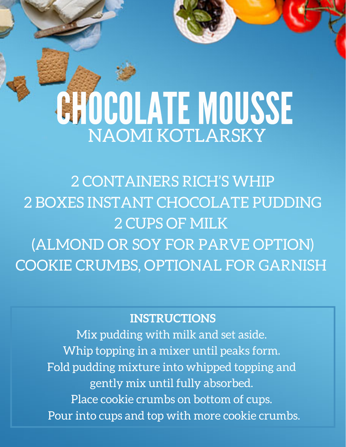## CHOCOLATE MOUSSE NAOMI KOTLARSKY

2 CONTAINERS RICH'S WHIP 2 BOXES INSTANT CHOCOLATE PUDDING 2 CUPS OF MILK (ALMOND OR SOY FOR PARVE OPTION) COOKIE CRUMBS, OPTIONAL FOR GARNISH

#### **INSTRUCTIONS**

Mix pudding with milk and set aside. Whip topping in a mixer until peaks form. Fold pudding mixture into whipped topping and gently mix until fully absorbed. Place cookie crumbs on bottom of cups. Pour into cups and top with more cookie crumbs.